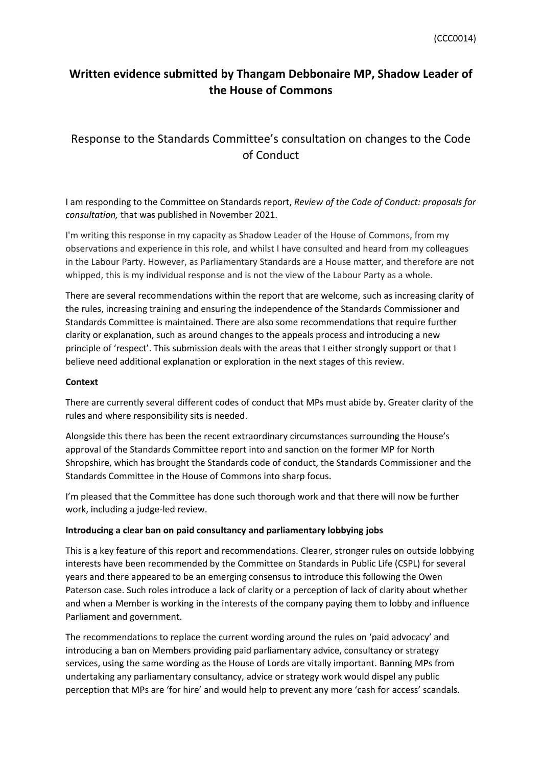## **Written evidence submitted by Thangam Debbonaire MP, Shadow Leader of the House of Commons**

# Response to the Standards Committee's consultation on changes to the Code of Conduct

I am responding to the Committee on Standards report, *Review of the Code of Conduct: proposals for consultation,* that was published in November 2021.

I'm writing this response in my capacity as Shadow Leader of the House of Commons, from my observations and experience in this role, and whilst I have consulted and heard from my colleagues in the Labour Party. However, as Parliamentary Standards are a House matter, and therefore are not whipped, this is my individual response and is not the view of the Labour Party as a whole.

There are several recommendations within the report that are welcome, such as increasing clarity of the rules, increasing training and ensuring the independence of the Standards Commissioner and Standards Committee is maintained. There are also some recommendations that require further clarity or explanation, such as around changes to the appeals process and introducing a new principle of 'respect'. This submission deals with the areas that I either strongly support or that I believe need additional explanation or exploration in the next stages of this review.

## **Context**

There are currently several different codes of conduct that MPs must abide by. Greater clarity of the rules and where responsibility sits is needed.

Alongside this there has been the recent extraordinary circumstances surrounding the House's approval of the Standards Committee report into and sanction on the former MP for North Shropshire, which has brought the Standards code of conduct, the Standards Commissioner and the Standards Committee in the House of Commons into sharp focus.

I'm pleased that the Committee has done such thorough work and that there will now be further work, including a judge-led review.

## **Introducing a clear ban on paid consultancy and parliamentary lobbying jobs**

This is a key feature of this report and recommendations. Clearer, stronger rules on outside lobbying interests have been recommended by the Committee on Standards in Public Life (CSPL) for several years and there appeared to be an emerging consensus to introduce this following the Owen Paterson case. Such roles introduce a lack of clarity or a perception of lack of clarity about whether and when a Member is working in the interests of the company paying them to lobby and influence Parliament and government.

The recommendations to replace the current wording around the rules on 'paid advocacy' and introducing a ban on Members providing paid parliamentary advice, consultancy or strategy services, using the same wording as the House of Lords are vitally important. Banning MPs from undertaking any parliamentary consultancy, advice or strategy work would dispel any public perception that MPs are 'for hire' and would help to prevent any more 'cash for access' scandals.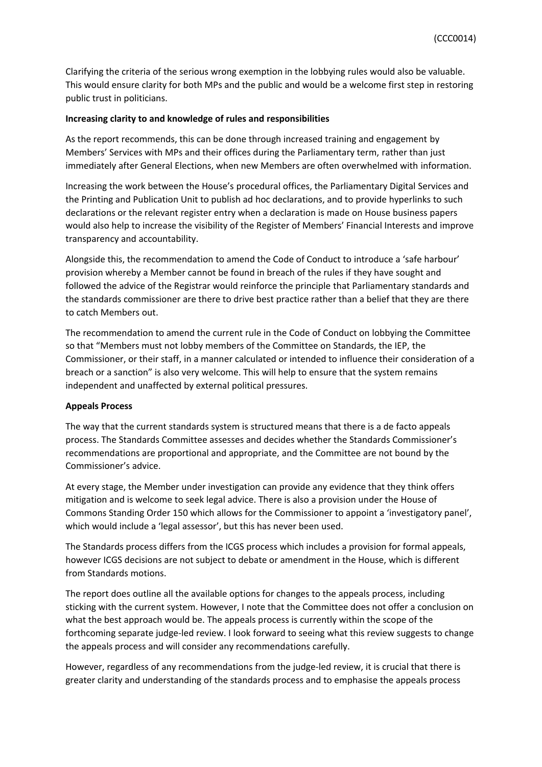Clarifying the criteria of the serious wrong exemption in the lobbying rules would also be valuable. This would ensure clarity for both MPs and the public and would be a welcome first step in restoring public trust in politicians.

#### **Increasing clarity to and knowledge of rules and responsibilities**

As the report recommends, this can be done through increased training and engagement by Members' Services with MPs and their offices during the Parliamentary term, rather than just immediately after General Elections, when new Members are often overwhelmed with information.

Increasing the work between the House's procedural offices, the Parliamentary Digital Services and the Printing and Publication Unit to publish ad hoc declarations, and to provide hyperlinks to such declarations or the relevant register entry when a declaration is made on House business papers would also help to increase the visibility of the Register of Members' Financial Interests and improve transparency and accountability.

Alongside this, the recommendation to amend the Code of Conduct to introduce a 'safe harbour' provision whereby a Member cannot be found in breach of the rules if they have sought and followed the advice of the Registrar would reinforce the principle that Parliamentary standards and the standards commissioner are there to drive best practice rather than a belief that they are there to catch Members out.

The recommendation to amend the current rule in the Code of Conduct on lobbying the Committee so that "Members must not lobby members of the Committee on Standards, the IEP, the Commissioner, or their staff, in a manner calculated or intended to influence their consideration of a breach or a sanction" is also very welcome. This will help to ensure that the system remains independent and unaffected by external political pressures.

#### **Appeals Process**

The way that the current standards system is structured means that there is a de facto appeals process. The Standards Committee assesses and decides whether the Standards Commissioner's recommendations are proportional and appropriate, and the Committee are not bound by the Commissioner's advice.

At every stage, the Member under investigation can provide any evidence that they think offers mitigation and is welcome to seek legal advice. There is also a provision under the House of Commons Standing Order 150 which allows for the Commissioner to appoint a 'investigatory panel', which would include a 'legal assessor', but this has never been used.

The Standards process differs from the ICGS process which includes a provision for formal appeals, however ICGS decisions are not subject to debate or amendment in the House, which is different from Standards motions.

The report does outline all the available options for changes to the appeals process, including sticking with the current system. However, I note that the Committee does not offer a conclusion on what the best approach would be. The appeals process is currently within the scope of the forthcoming separate judge-led review. I look forward to seeing what this review suggests to change the appeals process and will consider any recommendations carefully.

However, regardless of any recommendations from the judge-led review, it is crucial that there is greater clarity and understanding of the standards process and to emphasise the appeals process